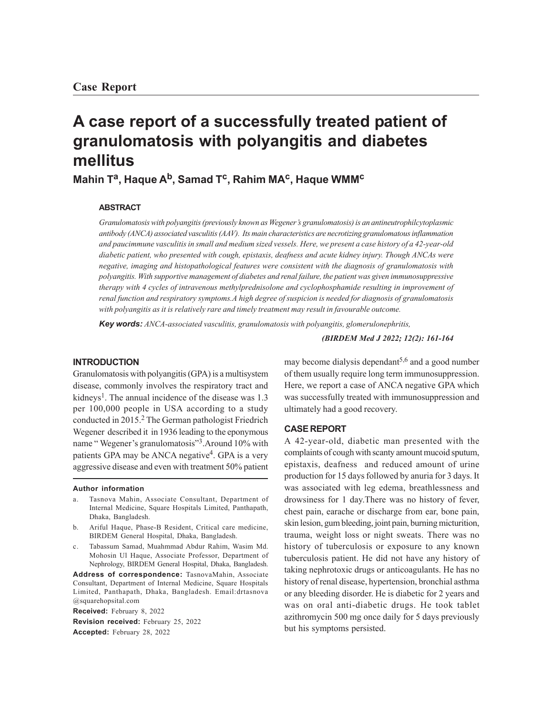# **A case report of a successfully treated patient of granulomatosis with polyangitis and diabetes mellitus**

**Mahin T<sup>a</sup> , Haque Ab, Samad T<sup>c</sup> , Rahim MA<sup>c</sup> , Haque WMM<sup>c</sup>**

# **ABSTRACT**

*Granulomatosis with polyangitis (previously known as Wegener's granulomatosis) is an antineutrophilcytoplasmic antibody (ANCA) associated vasculitis (AAV). Its main characteristics are necrotizing granulomatous inflammation and paucimmune vasculitis in small and medium sized vessels. Here, we present a case history of a 42-year-old diabetic patient, who presented with cough, epistaxis, deafness and acute kidney injury. Though ANCAs were negative, imaging and histopathological features were consistent with the diagnosis of granulomatosis with polyangitis. With supportive management of diabetes and renal failure, the patient was given immunosuppressive therapy with 4 cycles of intravenous methylprednisolone and cyclophosphamide resulting in improvement of renal function and respiratory symptoms.A high degree of suspicion is needed for diagnosis of granulomatosis with polyangitis as it is relatively rare and timely treatment may result in favourable outcome.*

*Key words: ANCA-associated vasculitis, granulomatosis with polyangitis, glomerulonephritis,*

*(BIRDEM Med J 2022; 12(2): 161-164*

## **INTRODUCTION**

Granulomatosis with polyangitis (GPA) is a multisystem disease, commonly involves the respiratory tract and kidneys<sup>1</sup>. The annual incidence of the disease was 1.3 per 100,000 people in USA according to a study conducted in 2015.2 The German pathologist Friedrich Wegener described it in 1936 leading to the eponymous name "Wegener's granulomatosis"<sup>3</sup>. Around 10% with patients GPA may be ANCA negative<sup>4</sup>. GPA is a very aggressive disease and even with treatment 50% patient

#### **Author information**

- Tasnova Mahin, Associate Consultant, Department of Internal Medicine, Square Hospitals Limited, Panthapath, Dhaka, Bangladesh.
- b. Ariful Haque, Phase-B Resident, Critical care medicine, BIRDEM General Hospital, Dhaka, Bangladesh.
- c. Tabassum Samad, Muahmmad Abdur Rahim, Wasim Md. Mohosin Ul Haque, Associate Professor, Department of Nephrology, BIRDEM General Hospital, Dhaka, Bangladesh.

**Address of correspondence:** TasnovaMahin, Associate Consultant, Department of Internal Medicine, Square Hospitals Limited, Panthapath, Dhaka, Bangladesh. Email:drtasnova @squarehopsital.com

**Received:** February 8, 2022 **Revision received:** February 25, 2022 **Accepted:** February 28, 2022

may become dialysis dependant<sup>5,6</sup> and a good number of them usually require long term immunosuppression. Here, we report a case of ANCA negative GPA which was successfully treated with immunosuppression and ultimately had a good recovery.

### **CASE REPORT**

A 42-year-old, diabetic man presented with the complaints of cough with scanty amount mucoid sputum, epistaxis, deafness and reduced amount of urine production for 15 days followed by anuria for 3 days. It was associated with leg edema, breathlessness and drowsiness for 1 day.There was no history of fever, chest pain, earache or discharge from ear, bone pain, skin lesion, gum bleeding, joint pain, burning micturition, trauma, weight loss or night sweats. There was no history of tuberculosis or exposure to any known tuberculosis patient. He did not have any history of taking nephrotoxic drugs or anticoagulants. He has no history of renal disease, hypertension, bronchial asthma or any bleeding disorder. He is diabetic for 2 years and was on oral anti-diabetic drugs. He took tablet azithromycin 500 mg once daily for 5 days previously but his symptoms persisted.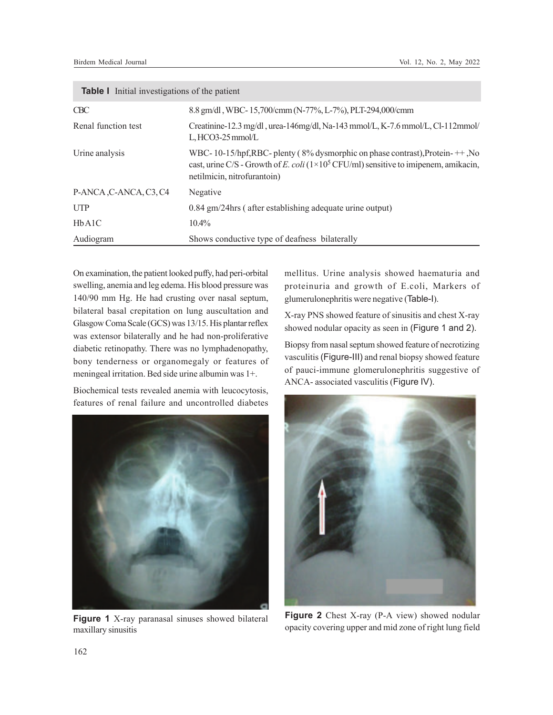| <b>CBC</b>             | 8.8 gm/dl, WBC-15,700/cmm (N-77%, L-7%), PLT-294,000/cmm                                                                                                                                                      |
|------------------------|---------------------------------------------------------------------------------------------------------------------------------------------------------------------------------------------------------------|
| Renal function test    | Creatinine-12.3 mg/dl, urea-146mg/dl, Na-143 mmol/L, K-7.6 mmol/L, Cl-112mmol/<br>$L$ , HCO3-25 mmol/ $L$                                                                                                     |
| Urine analysis         | WBC-10-15/hpf,RBC-plenty (8% dysmorphic on phase contrast), Protein- $+,$ No<br>cast, urine C/S - Growth of E. coli ( $1 \times 10^5$ CFU/ml) sensitive to imipenem, amikacin,<br>netilmicin, nitrofurantoin) |
| P-ANCA, C-ANCA, C3, C4 | Negative                                                                                                                                                                                                      |
| <b>UTP</b>             | 0.84 gm/24hrs (after establishing adequate urine output)                                                                                                                                                      |
| HbA1C                  | $10.4\%$                                                                                                                                                                                                      |
| Audiogram              | Shows conductive type of deafness bilaterally                                                                                                                                                                 |

**Table I** Initial investigations of the patient

On examination, the patient looked puffy, had peri-orbital swelling, anemia and leg edema. His blood pressure was 140/90 mm Hg. He had crusting over nasal septum, bilateral basal crepitation on lung auscultation and Glasgow Coma Scale (GCS) was 13/15. His plantar reflex was extensor bilaterally and he had non-proliferative diabetic retinopathy. There was no lymphadenopathy, bony tenderness or organomegaly or features of meningeal irritation. Bed side urine albumin was 1+.

Biochemical tests revealed anemia with leucocytosis, features of renal failure and uncontrolled diabetes



**Figure 1** X-ray paranasal sinuses showed bilateral maxillary sinusitis

mellitus. Urine analysis showed haematuria and proteinuria and growth of E.coli, Markers of glumerulonephritis were negative (Table-I).

X-ray PNS showed feature of sinusitis and chest X-ray showed nodular opacity as seen in (Figure 1 and 2).

Biopsy from nasal septum showed feature of necrotizing vasculitis (Figure-III) and renal biopsy showed feature of pauci-immune glomerulonephritis suggestive of ANCA- associated vasculitis (Figure IV).



**Figure 2** Chest X-ray (P-A view) showed nodular opacity covering upper and mid zone of right lung field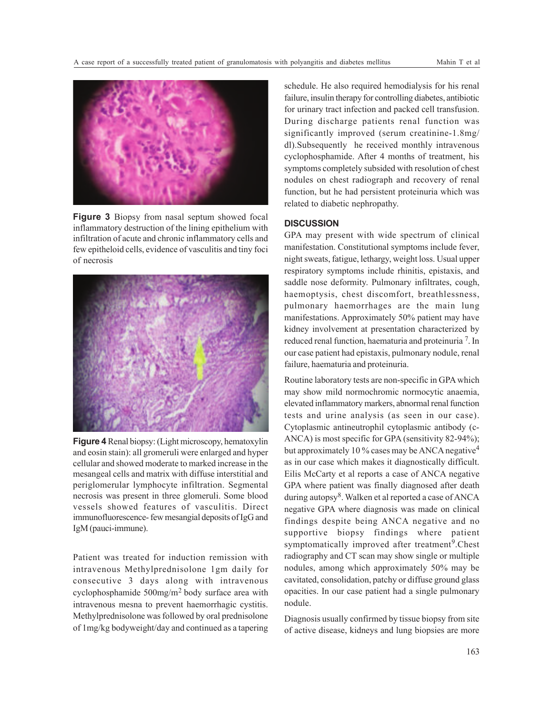

**Figure 3** Biopsy from nasal septum showed focal inflammatory destruction of the lining epithelium with infiltration of acute and chronic inflammatory cells and few epitheloid cells, evidence of vasculitis and tiny foci of necrosis



**Figure 4** Renal biopsy: (Light microscopy, hematoxylin and eosin stain): all gromeruli were enlarged and hyper cellular and showed moderate to marked increase in the mesangeal cells and matrix with diffuse interstitial and periglomerular lymphocyte infiltration. Segmental necrosis was present in three glomeruli. Some blood vessels showed features of vasculitis. Direct immunofluorescence- few mesangial deposits of IgG and IgM (pauci-immune).

Patient was treated for induction remission with intravenous Methylprednisolone 1gm daily for consecutive 3 days along with intravenous cyclophosphamide 500mg/m2 body surface area with intravenous mesna to prevent haemorrhagic cystitis. Methylprednisolone was followed by oral prednisolone of 1mg/kg bodyweight/day and continued as a tapering schedule. He also required hemodialysis for his renal failure, insulin therapy for controlling diabetes, antibiotic for urinary tract infection and packed cell transfusion. During discharge patients renal function was significantly improved (serum creatinine-1.8mg/ dl).Subsequently he received monthly intravenous cyclophosphamide. After 4 months of treatment, his symptoms completely subsided with resolution of chest nodules on chest radiograph and recovery of renal function, but he had persistent proteinuria which was related to diabetic nephropathy.

## **DISCUSSION**

GPA may present with wide spectrum of clinical manifestation. Constitutional symptoms include fever, night sweats, fatigue, lethargy, weight loss. Usual upper respiratory symptoms include rhinitis, epistaxis, and saddle nose deformity. Pulmonary infiltrates, cough, haemoptysis, chest discomfort, breathlessness, pulmonary haemorrhages are the main lung manifestations. Approximately 50% patient may have kidney involvement at presentation characterized by reduced renal function, haematuria and proteinuria<sup>7</sup>. In our case patient had epistaxis, pulmonary nodule, renal failure, haematuria and proteinuria.

Routine laboratory tests are non-specific in GPA which may show mild normochromic normocytic anaemia, elevated inflammatory markers, abnormal renal function tests and urine analysis (as seen in our case). Cytoplasmic antineutrophil cytoplasmic antibody (c-ANCA) is most specific for GPA (sensitivity 82-94%); but approximately 10 % cases may be ANCA negative<sup>4</sup> as in our case which makes it diagnostically difficult. Eilis McCarty et al reports a case of ANCA negative GPA where patient was finally diagnosed after death during autopsy<sup>8</sup>. Walken et al reported a case of ANCA negative GPA where diagnosis was made on clinical findings despite being ANCA negative and no supportive biopsy findings where patient symptomatically improved after treatment<sup>9</sup>.Chest radiography and CT scan may show single or multiple nodules, among which approximately 50% may be cavitated, consolidation, patchy or diffuse ground glass opacities. In our case patient had a single pulmonary nodule.

Diagnosis usually confirmed by tissue biopsy from site of active disease, kidneys and lung biopsies are more